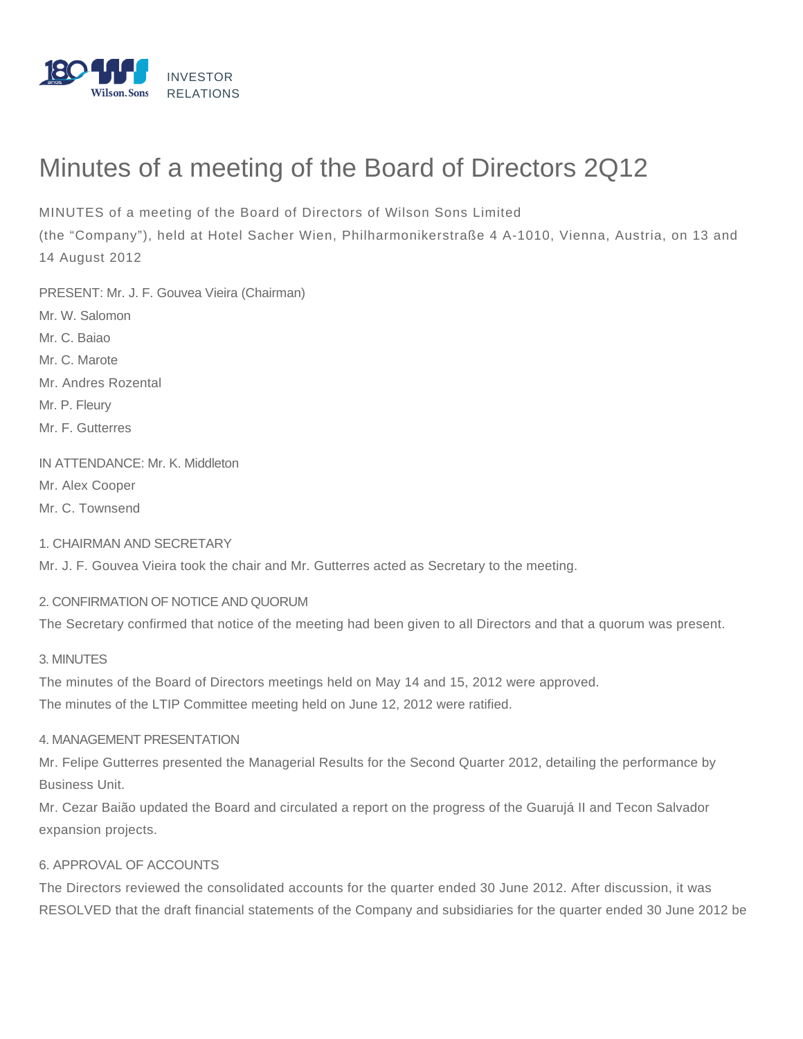

# Minutes of a meeting of the Board of Directors 2Q12

MINUTES of a meeting of the Board of Directors of Wilson Sons Limited

(the "Company"), held at Hotel Sacher Wien, Philharmonikerstraße 4 A-1010, Vienna, Austria, on 13 and 14 August 2012

PRESENT: Mr. J. F. Gouvea Vieira (Chairman) Mr. W. Salomon Mr. C. Baiao Mr. C. Marote Mr. Andres Rozental Mr. P. Fleury Mr. F. Gutterres

IN ATTENDANCE: Mr. K. Middleton

Mr. Alex Cooper

Mr. C. Townsend

1. CHAIRMAN AND SECRETARY

Mr. J. F. Gouvea Vieira took the chair and Mr. Gutterres acted as Secretary to the meeting.

## 2. CONFIRMATION OF NOTICE AND QUORUM

The Secretary confirmed that notice of the meeting had been given to all Directors and that a quorum was present.

#### 3. MINUTES

The minutes of the Board of Directors meetings held on May 14 and 15, 2012 were approved. The minutes of the LTIP Committee meeting held on June 12, 2012 were ratified.

## 4. MANAGEMENT PRESENTATION

Mr. Felipe Gutterres presented the Managerial Results for the Second Quarter 2012, detailing the performance by Business Unit.

Mr. Cezar Baião updated the Board and circulated a report on the progress of the Guarujá II and Tecon Salvador expansion projects.

## 6. APPROVAL OF ACCOUNTS

The Directors reviewed the consolidated accounts for the quarter ended 30 June 2012. After discussion, it was RESOLVED that the draft financial statements of the Company and subsidiaries for the quarter ended 30 June 2012 be